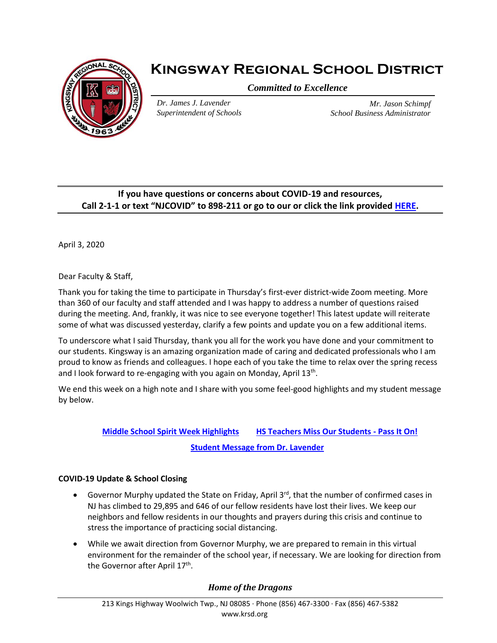

# **Kingsway Regional School District**

*Committed to Excellence*

*Dr. James J. Lavender Superintendent of Schools*

*Mr. Jason Schimpf School Business Administrator*

## **If you have questions or concerns about COVID-19 and resources, Call 2-1-1 or text "NJCOVID" to 898-211 or go to our or click the link provided [HERE.](https://www.nj.gov/dcf/news/Hotlines&Helplines-COVID.pdf)**

April 3, 2020

Dear Faculty & Staff,

Thank you for taking the time to participate in Thursday's first-ever district-wide Zoom meeting. More than 360 of our faculty and staff attended and I was happy to address a number of questions raised during the meeting. And, frankly, it was nice to see everyone together! This latest update will reiterate some of what was discussed yesterday, clarify a few points and update you on a few additional items.

To underscore what I said Thursday, thank you all for the work you have done and your commitment to our students. Kingsway is an amazing organization made of caring and dedicated professionals who I am proud to know as friends and colleagues. I hope each of you take the time to relax over the spring recess and I look forward to re-engaging with you again on Monday, April 13<sup>th</sup>.

We end this week on a high note and I share with you some feel-good highlights and my student message by below.

# **[Middle School Spirit Week Highlights](https://flipgrid.com/krms20) [HS Teachers Miss Our Students -](https://drive.google.com/file/d/1mIedujNKq1JI5Cw_-AZRHmYBuabD_HKC/view?usp=sharing) Pass It On! [Student Message from Dr. Lavender](https://ensemble.kingsway.k12.nj.us/Watch/Kn5o8CZm)**

#### **COVID-19 Update & School Closing**

- Governor Murphy updated the State on Friday, April 3<sup>rd</sup>, that the number of confirmed cases in NJ has climbed to 29,895 and 646 of our fellow residents have lost their lives. We keep our neighbors and fellow residents in our thoughts and prayers during this crisis and continue to stress the importance of practicing social distancing.
- While we await direction from Governor Murphy, we are prepared to remain in this virtual environment for the remainder of the school year, if necessary. We are looking for direction from the Governor after April 17<sup>th</sup>.

### *Home of the Dragons*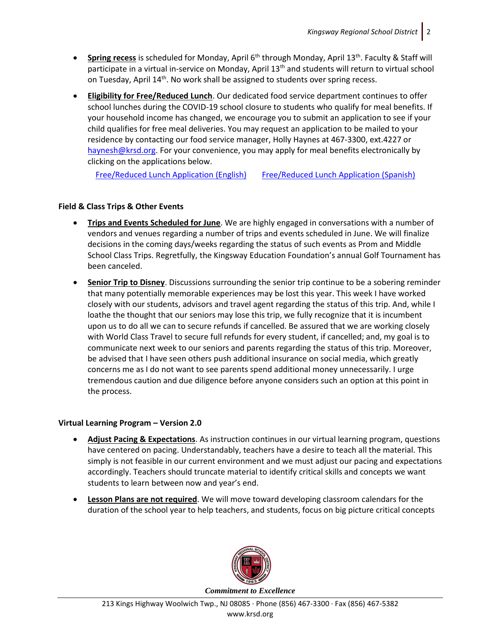- **•** Spring recess is scheduled for Monday, April 6<sup>th</sup> through Monday, April 13<sup>th</sup>. Faculty & Staff will participate in a virtual in-service on Monday, April 13<sup>th</sup> and students will return to virtual school on Tuesday, April 14<sup>th</sup>. No work shall be assigned to students over spring recess.
- **Eligibility for Free/Reduced Lunch**. Our dedicated food service department continues to offer school lunches during the COVID-19 school closure to students who qualify for meal benefits. If your household income has changed, we encourage you to submit an application to see if your child qualifies for free meal deliveries. You may request an application to be mailed to your residence by contacting our food service manager, Holly Haynes at 467-3300, ext.4227 or [haynesh@krsd.org.](mailto:haynesh@krsd.org) For your convenience, you may apply for meal benefits electronically by clicking on the applications below.

[Free/Reduced Lunch Application \(English\)](https://www.krsd.org/Page/1219) [Free/Reduced Lunch Application \(Spanish\)](https://www.krsd.org/Page/1220)

#### **Field & Class Trips & Other Events**

- **Trips and Events Scheduled for June**. We are highly engaged in conversations with a number of vendors and venues regarding a number of trips and events scheduled in June. We will finalize decisions in the coming days/weeks regarding the status of such events as Prom and Middle School Class Trips. Regretfully, the Kingsway Education Foundation's annual Golf Tournament has been canceled.
- **Senior Trip to Disney**. Discussions surrounding the senior trip continue to be a sobering reminder that many potentially memorable experiences may be lost this year. This week I have worked closely with our students, advisors and travel agent regarding the status of this trip. And, while I loathe the thought that our seniors may lose this trip, we fully recognize that it is incumbent upon us to do all we can to secure refunds if cancelled. Be assured that we are working closely with World Class Travel to secure full refunds for every student, if cancelled; and, my goal is to communicate next week to our seniors and parents regarding the status of this trip. Moreover, be advised that I have seen others push additional insurance on social media, which greatly concerns me as I do not want to see parents spend additional money unnecessarily. I urge tremendous caution and due diligence before anyone considers such an option at this point in the process.

#### **Virtual Learning Program – Version 2.0**

- **Adjust Pacing & Expectations**. As instruction continues in our virtual learning program, questions have centered on pacing. Understandably, teachers have a desire to teach all the material. This simply is not feasible in our current environment and we must adjust our pacing and expectations accordingly. Teachers should truncate material to identify critical skills and concepts we want students to learn between now and year's end.
- **Lesson Plans are not required**. We will move toward developing classroom calendars for the duration of the school year to help teachers, and students, focus on big picture critical concepts